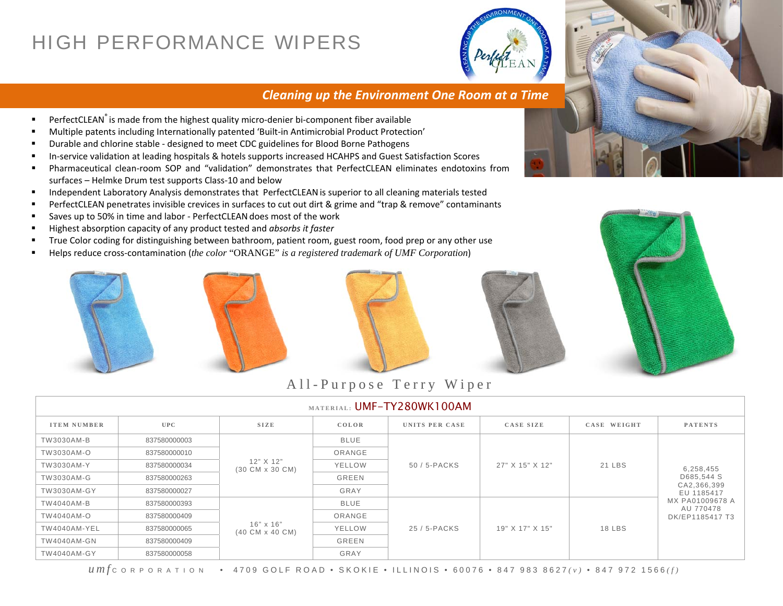# HIGH PERFORMANCE WIPERS



### *Cleaning up the Environment One Room at <sup>a</sup> Time*

- $\blacksquare$ **PerfectCLEAN** ® is made from the highest quality micro‐denier bi‐component fiber available
- П Multiple patents including Internationally patented 'Built‐in Antimicrobial Product Protection'
- П ■ Durable and chlorine stable - designed to meet CDC guidelines for Blood Borne Pathogens
- П ■ In-service validation at leading hospitals & hotels supports increased HCAHPS and Guest Satisfaction Scores
- $\blacksquare$ ■ Pharmaceutical clean-room SOP and "validation" demonstrates that PerfectCLEAN eliminates endotoxins from surfaces – Helmke Drum test supports Class‐10 and below
- $\blacksquare$ Independent Laboratory Analysis demonstrates that PerfectCLEANis superior to all cleaning materials tested
- П ■ PerfectCLEAN penetrates invisible crevices in surfaces to cut out dirt & grime and "trap & remove" contaminants
- $\blacksquare$ Saves up to 50% in time and labor - PerfectCLEAN does most of the work
- П Highest absorption capacity of any product tested and *absorbs it faster*
- $\blacksquare$ ■ True Color coding for distinguishing between bathroom, patient room, guest room, food prep or any other use
- П Helps reduce cross‐contamination (*the color* "ORANGE" *is a registered trademark of UMF Corporation*)









# All-Purpose Terry Wiper

| MATERIAL: UMF-TY280WK100AM |              |                                                            |        |                |                       |               |                                                                                                         |
|----------------------------|--------------|------------------------------------------------------------|--------|----------------|-----------------------|---------------|---------------------------------------------------------------------------------------------------------|
| <b>ITEM NUMBER</b>         | <b>UPC</b>   | SIZE                                                       | COLOR  | UNITS PER CASE | CASE SIZE             | CASE WEIGHT   | <b>PATENTS</b>                                                                                          |
| TW3030AM-B                 | 837580000003 | 12" X 12"<br>$(30 \text{ CM} \times 30 \text{ CM})$        | BLUE   | 50 / 5-PACKS   | 27" X 15" X 12"       | 21 LBS        | 6,258,455<br>D685,544 S<br>CA2,366,399<br>EU 1185417<br>MX PA01009678 A<br>AU 770478<br>DK/EP1185417 T3 |
| TW3030AM-O                 | 837580000010 |                                                            | ORANGE |                |                       |               |                                                                                                         |
| TW3030AM-Y                 | 837580000034 |                                                            | YELLOW |                |                       |               |                                                                                                         |
| TW3030AM-G                 | 837580000263 |                                                            | GREEN  |                |                       |               |                                                                                                         |
| TW3030AM-GY                | 837580000027 |                                                            | GRAY   |                |                       |               |                                                                                                         |
| TW4040AM-B                 | 837580000393 | $16" \times 16"$<br>$(40 \text{ CM} \times 40 \text{ CM})$ | BLUE   | 25 / 5-PACKS   | $19"$ X $17"$ X $15"$ | <b>18 LBS</b> |                                                                                                         |
| TW4040AM-O                 | 837580000409 |                                                            | ORANGE |                |                       |               |                                                                                                         |
| <b>TW4040AM-YEL</b>        | 837580000065 |                                                            | YELLOW |                |                       |               |                                                                                                         |
| TW4040AM-GN                | 837580000409 |                                                            | GREEN  |                |                       |               |                                                                                                         |
| <b>TW4040AM-GY</b>         | 837580000058 |                                                            | GRAY   |                |                       |               |                                                                                                         |



*umf* C  $\circ$  R P O R A T I  $\circ$  N  $\bullet$  4709 GOLF ROAD  $\bullet$  SKOKIE  $\bullet$  ILLINOIS  $\bullet$  60076  $\bullet$  847 983 8627(*v*)  $\bullet$  847 972 1566(*f*)